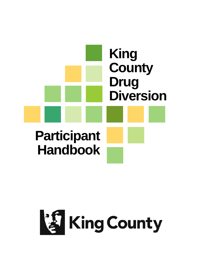

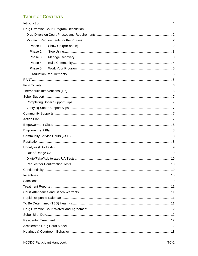# **TABLE OF CONTENTS**

| Phase 1: |  |  |  |  |  |
|----------|--|--|--|--|--|
| Phase 2: |  |  |  |  |  |
| Phase 3: |  |  |  |  |  |
| Phase 4: |  |  |  |  |  |
| Phase 5: |  |  |  |  |  |
|          |  |  |  |  |  |
|          |  |  |  |  |  |
|          |  |  |  |  |  |
|          |  |  |  |  |  |
|          |  |  |  |  |  |
|          |  |  |  |  |  |
|          |  |  |  |  |  |
|          |  |  |  |  |  |
|          |  |  |  |  |  |
|          |  |  |  |  |  |
|          |  |  |  |  |  |
|          |  |  |  |  |  |
|          |  |  |  |  |  |
|          |  |  |  |  |  |
|          |  |  |  |  |  |
|          |  |  |  |  |  |
|          |  |  |  |  |  |
|          |  |  |  |  |  |
|          |  |  |  |  |  |
|          |  |  |  |  |  |
|          |  |  |  |  |  |
|          |  |  |  |  |  |
|          |  |  |  |  |  |
|          |  |  |  |  |  |
|          |  |  |  |  |  |
|          |  |  |  |  |  |
|          |  |  |  |  |  |
|          |  |  |  |  |  |
|          |  |  |  |  |  |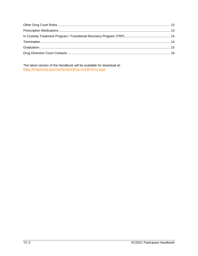The latest version of the Handbook will be available for download at: https://kingcounty.gov/courts/clerk/drug-court/Forms.aspx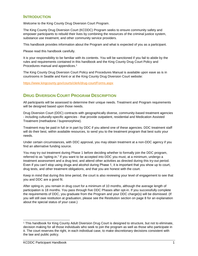### <span id="page-3-0"></span>**INTRODUCTION**

Welcome to the King County Drug Diversion Court Program.

The King County Drug Diversion Court (KCDDC) Program seeks to ensure community safety and empower participants to rebuild their lives by combining the resources of the criminal justice system, substance use treatment, and other community service providers.

This handbook provides information about the Program and what is expected of you as a participant.

Please read this handbook carefully.

It is your responsibility to be familiar with its contents. You will be sanctioned if you fail to abide by the rules and requirements contained in this handbook and the King County Drug Court Policy and Procedures manual and appendices.<sup>1</sup>

The King County Drug Diversion Court Policy and Procedures Manual is available upon eave as is in courtrooms in Seattle and Kent or at the King County Drug Diversion Court website:

<https://www.kingcounty.gov/courts/clerk/drug-court/Forms.aspx>

# <span id="page-3-1"></span>**DRUG DIVERSION COURT PROGRAM DESCRIPTION**

All participants will be assessed to determine their unique needs. Treatment and Program requirements will be designed based upon those needs.

Drug Diversion Court (DDC) contracts with geographically diverse, community-based treatment agencies - including culturally-specific agencies - that provide outpatient, residential and Medication Assisted Treatment (methadone / buprenorphine).

Treatment may be paid in full or in part by DDC if you attend one of these agencies. DDC treatment staff will do their best, within available resources, to send you to the treatment program that best suits your needs.

Under certain circumstances, with DDC approval, you may obtain treatment at a non-DDC agency if you find an alternative funding source.

You may try out treatment during Phase 1 before deciding whether to formally join the DDC program, referred to as "opting-in." If you want to be accepted into DDC you must, at a minimum, undergo a treatment assessment and a drug test, and attend other activities as directed during this try-out period. Even if you can't stop using drugs and alcohol during Phase 1, it is important that you show up to court, drug tests, and other treatment obligations, and that you are honest with the court.

Keep in mind that during this time period, the court is also reviewing your level of engagement to see that you and DDC are a good fit.

After opting-in, you remain in drug court for a minimum of 10 months, although the average length of participation is 18 months. You pass through five DDC Phases after opt-in. If you successfully complete the requirements of DDC, you graduate from the Program and your DDC charge(s) will be dismissed. (If you will still owe restitution at graduation, please see the Restitution section on page 8 for an explanation about the special status of your case.)

l

<sup>1</sup> This handbook for King County Adult Diversion Drug Court is designed to structure, but not to eliminate, decision making for all those individuals who seek to join the program as well as those who participate in it. The court reserves the right, in each individual case, to make discretionary decisions consistent with the law and public policy.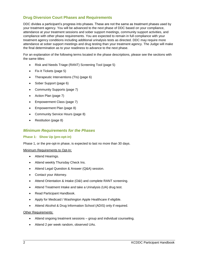## <span id="page-4-0"></span>**Drug Diversion Court Phases and Requirements**

DDC divides a participant's progress into phases. These are not the same as treatment phases used by your treatment agency. You will be advanced to the next phase of DDC based on your compliance, attendance at your treatment sessions and sober support meetings, community support activities, and compliance with other phase requirements. You are expected to remain in full compliance with your treatment agency conditions including additional urinalysis tests as directed. DDC may require more attendance at sober support meetings and drug testing than your treatment agency. The Judge will make the final determination as to your readiness to advance to the next phase.

For an explanation of the following terms located in the phase descriptions, please see the sections with the same titles:

- Risk and Needs Triage (RANT) Screening Tool (page 5)
- Fix-It Tickets (page 5)
- Therapeutic Interventions (TIs) (page 6)
- Sober Support (page 6)
- Community Supports (page 7)
- Action Plan (page 7)
- Empowerment Class (page 7)
- Empowerment Plan (page 8)
- Community Service Hours (page 8)
- Restitution (page 8)

### <span id="page-4-1"></span>*Minimum Requirements for the Phases*

### <span id="page-4-2"></span>**Phase 1: Show Up (pre-opt-in)**

Phase 1, or the pre-opt-in phase, is expected to last no more than 30 days.

### Minimum Requirements to Opt-In:

- Attend Hearings.
- Attend weekly Thursday Check Ins.
- Attend Legal Question & Answer (Q&A) session.
- Contact your Attorney.
- Attend Orientation & Intake (O&I) and complete RANT screening.
- Attend Treatment Intake and take a Urinalysis (UA) drug test.
- Read Participant Handbook.
- Apply for Medicaid / Washington Apple Healthcare if eligible.
- Attend Alcohol & Drug Information School (ADIS) only if required.

### Other Requirements:

- Attend ongoing treatment sessions group and individual counseling.
- Attend 2 per week random, observed UAs.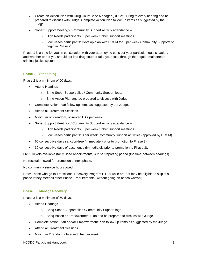- Create an Action Plan with Drug Court Case Manager (DCCM). Bring to every hearing and be prepared to discuss with Judge. Complete Action Plan follow-up items as suggested by the Judge.
- Sober Support Meetings / Community Support Activity attendance
	- o High Needs participants: 3 per week Sober Support meetings.
	- $\circ$  Low Needs participants: Develop plan with DCCM for 3 per week Community Supports to begin in Phase 2.

Phase 1 is a time for you, in consultation with your attorney, to consider your particular legal situation, and whether or not you should opt into drug court or take your case through the regular mainstream criminal justice system.

### <span id="page-5-0"></span>**Phase 2: Stop Using**

Phase 2 is a minimum of 60 days.

- Attend Hearings
	- o Bring Sober Support slips / Community Support logs.
	- o Bring Action Plan and be prepared to discuss with Judge.
- Complete Action Plan follow-up items as suggested by the Judge.
- Attend all Treatment Sessions.
- Minimum of 2 random, observed UAs per week.
- Sober Support Meetings / Community Support Activity attendance
	- o High Needs participants: 3 per week Sober Support meetings.
	- o Low Needs participants: 3 per week Community Support activities (approved by DCCM).
- 60 consecutive days sanction-free (immediately prior to promotion to Phase 3).
- 30 consecutive days of abstinence (immediately prior to promotion to Phase 3).

Fix-It Tickets available (for missed appointments) = 2 per reporting period (the time between hearings).

No restitution owed for promotion to next phase.

No community service hours owed.

Note: Those who go to Transitional Recovery Program (TRP) while pre-opt may be eligible to skip this phase if they meet all other Phase 1 requirements (without going on bench warrant).

### <span id="page-5-1"></span>**Phase 3: Manage Recovery**

Phase 3 is a minimum of 60 days.

- Attend Hearings
	- o Bring Sober Support slips / Community Support logs.
	- $\circ$  Bring Action or Empowerment Plan and be prepared to discuss with Judge.
- Complete Action Plan and/or Empowerment Plan follow-up items as suggested by the Judge.
- Attend all Treatment Sessions.
- Minimum 2 random, observed UAs per week.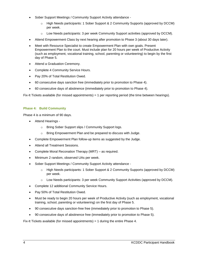- Sober Support Meetings / Community Support Activity attendance
	- o High Needs participants: 1 Sober Support & 2 Community Supports (approved by DCCM) per week.
	- $\circ$  Low Needs participants: 3 per week Community Support activities (approved by DCCM).
- Attend Empowerment Class by next hearing after promotion to Phase 3 (about 30 days later).
- Meet with Resource Specialist to create Empowerment Plan with own goals. Present Empowerment Plan to the court. Must include plan for 20 hours per week of Productive Activity (such as employment, vocational training, school, parenting or volunteering) to begin by the first day of Phase 5.
- Attend a Graduation Ceremony.
- Complete 4 Community Service Hours.
- Pay 20% of Total Restitution Owed.
- 60 consecutive days sanction free (immediately prior to promotion to Phase 4).
- 60 consecutive days of abstinence (immediately prior to promotion to Phase 4).

Fix-It Tickets available (for missed appointments) = 1 per reporting period (the time between hearings).

### <span id="page-6-0"></span>**Phase 4: Build Community**

Phase 4 is a minimum of 90 days.

- Attend Hearings
	- o Bring Sober Support slips / Community Support logs.
	- o Bring Empowerment Plan and be prepared to discuss with Judge.
- Complete Empowerment Plan follow-up items as suggested by the Judge.
- Attend all Treatment Sessions.
- Complete Moral Reconation Therapy (MRT) as required.
- Minimum 2 random, observed UAs per week.
- Sober Support Meetings / Community Support Activity attendance
	- o High Needs participants: 1 Sober Support & 2 Community Supports (approved by DCCM) per week.
	- o Low Needs participants: 3 per week Community Support Activities (approved by DCCM).
- Complete 12 additional Community Service Hours.
- Pay 50% of Total Restitution Owed.
- Must be ready to begin 20 hours per week of Productive Activity (such as employment, vocational training, school, parenting or volunteering) on the first day of Phase 5.
- 90 consecutive days sanction-free free (immediately prior to promotion to Phase 5).
- 90 consecutive days of abstinence free (immediately prior to promotion to Phase 5).

Fix-It Tickets available (for missed appointments) = 1 during the entire Phase 4.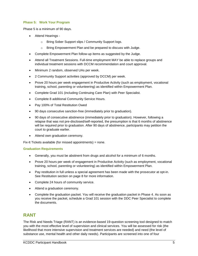### <span id="page-7-0"></span>**Phase 5: Work Your Program**

Phase 5 is a minimum of 90 days.

- Attend Hearings
	- o Bring Sober Support slips / Community Support logs.
	- o Bring Empowerment Plan and be prepared to discuss with Judge.
- Complete Empowerment Plan follow-up items as suggested by the Judge.
- Attend all Treatment Sessions. Full-time employment MAY be able to replace groups and individual treatment sessions with DCCM recommendation and court approval.
- Minimum 2 random, observed UAs per week.
- 2 Community Support activities (approved by DCCM) per week.
- Prove 20 hours per week engagement in Productive Activity (such as employment, vocational training, school, parenting or volunteering) as identified within Empowerment Plan.
- Complete Grad 101 (including Continuing Care Plan) with Peer Specialist.
- Complete 8 additional Community Service Hours.
- Pay 100% of Total Restitution Owed
- 90 days consecutive sanction-free (immediately prior to graduation).
- 90 days of consecutive abstinence (immediately prior to graduation). However, following a relapse that was not pre-disclosed/self-reported, the presumption is that 6 months of abstinence will be required prior to graduation. After 90 days of abstinence, participants may petition the court to graduate earlier.
- Attend own graduation ceremony.

Fix-It Tickets available (for missed appointments) = none.

### <span id="page-7-1"></span>**Graduation Requirements**

- Generally, you must be abstinent from drugs and alcohol for a minimum of 6 months.
- Prove 20 hours per week of engagement in Productive Activity (such as employment, vocational training, school, parenting or volunteering) as identified within Empowerment Plan.
- Pay restitution in full unless a special agreement has been made with the prosecutor at opt-in. See Restitution section on page 8 for more information.
- Complete 24 hours of community service.
- Attend a graduation ceremony.
- Complete the graduation packet. You will receive the graduation packet in Phase 4. As soon as you receive the packet, schedule a Grad 101 session with the DDC Peer Specialist to complete the documents.

## <span id="page-7-2"></span>**RANT**

The Risk and Needs Triage (RANT) is an evidence-based 19-question screening tool designed to match you with the most effective level of supervision and clinical services. You will be assessed for risk (the likelihood that more intensive supervision and treatment services are needed) and need (the level of substance use, mental health and other daily needs). Participants are screened into one of four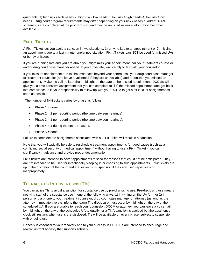quadrants: 1) high risk / high needs 2) high risk / low needs 3) low risk / high needs 4) low risk / low needs. Drug court program requirements may differ depending on your risk / needs quadrant. RANT screenings are completed at the program start and may be revisited as more information becomes available.

# <span id="page-8-0"></span>**FIX-IT TICKETS**

A Fix-it Ticket lets you avoid a sanction in two situations: 1) arriving late to an appointment or 2) missing an appointment due to a last minute, unplanned situation. Fix-It Tickets can NOT be used for missed UAs or behavior issues.

If you are running late and you are afraid you might miss your appointment, call your treatment counselor and/or drug court case manager ahead. If you arrive late, wait calmly to talk with your counselor.

If you miss an appointment due to circumstances beyond your control, call your drug court case manager **or** treatment counselor (and leave a voicemail if they are unavailable) and report that you missed an appointment. Make the call no later than midnight on the date of the missed appointment. DCCMs will give you a time sensitive assignment that you can complete to "fix" the missed appointment and get back into compliance. It is your responsibility to follow-up with your DCCM to get a fix-it ticket assignment as soon as possible.

The number of fix-it tickets varies by phase as follows:

- Phase  $1 =$  none.
- Phase  $2 = 2$  per reporting period (the time between hearings).
- Phase  $3 = 1$  per reporting period (the time between hearings).
- Phase  $4 = 1$  during the entire Phase 4.
- $\bullet$  Phase  $5 =$  none.

Failure to complete the assignments associated with a Fix-It Ticket will result in a sanction.

Note that you will typically be able to reschedule treatment appointments for good cause (such as a conflicting social security or medical appointment) without having to use a Fix-It Ticket if you call significantly in advance and provide proper documentation.

Fix-it tickets are intended to cover appointments missed for reasons that could not be anticipated. They are not intended to be used for intentionally sleeping in or choosing to skip appointments. Fix-it tickets are up to the discretion of the court and are subject to suspension if they are used repetitively or inappropriately.

## <span id="page-8-1"></span>**THERAPEUTIC INTERVENTIONS (TIS)**

You can utilize TIs to avoid a sanction for substance use by pre-disclosing use. Pre-disclosing use means notifying staff of the substance use in one of the following ways: 1) in writing on the UA form or 2) in person or via phone to your treatment counselor, drug court case manager or attorney (as long as the attorney immediately relays info to the team) The disclosure must occur by midnight on the day of the scheduled UA. If you are unable to reach your counselor, DCCM or attorney, you can leave a voicemail by midnight on the day of the scheduled UA to qualify for a TI. A sanction is avoided but the abstinence clock still restarts when use is pre-disclosed. TIs will be available on every phase, subject to suspension with ongoing use.

Honesty is essential to your recovery and to your success in DDC. TIs are intended to encourage and reward upfront honesty that supports sobriety.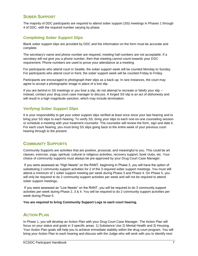# <span id="page-9-0"></span>**SOBER SUPPORT**

The majority of DDC participants are required to attend sober support (SS) meetings in Phases 1 through 4 of DDC, with the required number varying by phase.

## <span id="page-9-1"></span>*Completing Sober Support Slips*

Blank sober support slips are provided by DDC and the information on the form must be accurate and complete.

The secretary's name and phone number are required, meeting hall numbers are not acceptable. If a secretary will not give you a phone number, then that meeting cannot count towards your DDC requirement. Phone numbers are used to prove your attendance at a meeting.

For participants who attend court in Seattle, the sober support week will be counted Monday to Sunday. For participants who attend court in Kent, the sober support week will be counted Friday to Friday.

Participants are encouraged to photograph their slips as a back-up. In rare instances, the court may agree to accept a photographic image in place of a lost slip.

If you are behind in SS meetings or you lose a slip, do not attempt to recreate or falsify your slip – instead, contact your drug court case manager to discuss. A forged SS slip is an act of dishonesty and will result in a high magnitude sanction, which may include termination.

### <span id="page-9-2"></span>*Verifying Sober Support Slips*

It is your responsibility to get your sober support slips verified at least once since your last hearing and to bring your SS slips to each hearing. To verify SS, bring your slips to each one-on-one counseling session or schedule a meeting with your treatment counselor. The counselor will review the form, sign and date it. For each court hearing, you must bring SS slips going back to the entire week of your previous court hearing through to the present.

# <span id="page-9-3"></span>**COMMUNITY SUPPORTS**

Community Supports are activities that are positive, prosocial, and meaningful to you. This could be art classes, exercise, yoga, spiritual, cultural or religious activities, recovery support, book clubs, etc. Your choice of community supports must always be pre-approved by your Drug Court Case Manager.

If you were assessed as "High Needs" on the RANT, beginning in Phase 3, you will have the option of substituting 2 community support activities for 2 of the 3 required sober support meetings. You must still attend a minimum of 1 sober support meeting per week during Phase 3 and Phase 4. On Phase 5, you will only be required to do 2 community support activities per week and will not be required to attend sober support meetings.

If you were assessed as "Low Needs" on the RANT, you will be required to do 3 community support activities per week during Phase 2, 3 & 4. You will be required to do 2 community support activities per week during Phase 5.

**You are required to bring Community Support Logs to each court hearing.**

# <span id="page-9-4"></span>**ACTION PLAN**

In Phase 1, you will develop an Action Plan with your Drug Court Case Manager. The Action Plan will focus on your status and goals in 3 specific areas: 1) Substance Use 2) Mental Health and 3) Housing. Your Action Plan goals will help you to achieve immediate stability within the drug court program. You will bring your Action Plan to each hearing and discuss with the Judge who will work with you to identify next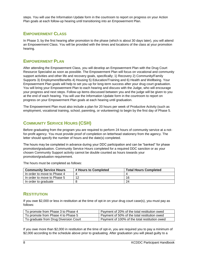steps. You will use the Information Update form in the courtroom to report on progress on your Action Plan goals at each follow-up hearing until transitioning into an Empowerment Plan.

### <span id="page-10-0"></span>**EMPOWERMENT CLASS**

In Phase 3, by the first hearing after promotion to the phase (which is about 30 days later), you will attend an Empowerment Class. You will be provided with the times and locations of the class at your promotion hearing.

## <span id="page-10-1"></span>**EMPOWERMENT PLAN**

After attending the Empowerment Class, you will develop an Empowerment Plan with the Drug Court Resource Specialist as soon as possible. The Empowerment Plan will focus on vocational and community support activities and other life and recovery goals, specifically; 1) Recovery 2) Community/Family Supports 3) Employment/Benefits 4) Housing 5) Education/Training and 6) Health and Wellbeing. Your Empowerment Plan goals will help to set you up for long-term success after your drug court graduation. You will bring your Empowerment Plan to each hearing and discuss with the Judge, who will encourage your progress and next steps. Follow-up items discussed between you and the judge will be given to you at the end of each hearing. You will use the Information Update form in the courtroom to report on progress on your Empowerment Plan goals at each hearing until graduation.

The Empowerment Plan must also include a plan for 20 hours per week of Productive Activity (such as employment, vocational training, school, parenting, or volunteering) to begin by the first day of Phase 5.

# <span id="page-10-2"></span>**COMMUNITY SERVICE HOURS (CSH)**

Before graduating from the program you are required to perform 24 hours of community service at a notfor-profit agency. You must provide proof of completion on letterhead stationery from the agency. The letter should specify the number of hours and the date(s) completed.

The hours may be completed in advance during your DDC participation and can be "banked" for phase promotion/graduation. Community Service Hours completed for a required DDC sanction or as your chosen Community Support activity cannot be double counted as hours towards your promotion/graduation requirement.

The hours must be completed as follows:

| <b>Community Service Hours</b> | # Hours to Completed | <b>Total Hours Completed</b> |
|--------------------------------|----------------------|------------------------------|
| In order to move to Phase 4    |                      |                              |
| In order to move to Phase 5    | $\sim$               | 16                           |
| In order to graduate           |                      |                              |

## <span id="page-10-3"></span>**RESTITUTION**

If you owe \$2,000 or less in restitution at the time of opt-in on your drug court case(s), you must pay as follows:

| To promote from Phase 3 to Phase 4    | Payment of 20% of the total restitution owed  |
|---------------------------------------|-----------------------------------------------|
| To promote from Phase 4 to Phase 5    | Payment of 50% of the total restitution owed  |
| To graduate from Drug Diversion Court | Payment of 100% of the total restitution owed |

If you owe more than \$2,000 in restitution at the time of opt-in, you are required you to pay a minimum of \$2,000 according to the schedule above prior to graduating. After graduation you will plead guilty to a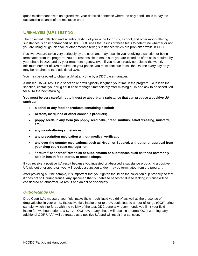gross misdemeanor with an agreed two-year deferred sentence where the only condition is to pay the outstanding balance of the restitution order.

# <span id="page-11-0"></span>**URINALYSIS (UA) TESTING**

The observed collection and scientific testing of your urine for drugs, alcohol, and other mood-altering substances is an important part of DDC. DDC uses the results of these tests to determine whether or not you are using drugs, alcohol, or other mood-altering substances which are prohibited while in DDC.

Positive UAs are taken very seriously by the court and may result in you receiving a sanction or being terminated from the program. You are responsible to make sure you are tested as often as is required by your phase in DDC and by your treatment agency. Even if you have already completed the weekly minimum number of UAs required on your phase, you must continue to call the UA line every day as you may be required to take additional UAs.

You may be directed to obtain a UA at any time by a DDC case manager.

A missed UA will result in a sanction and will typically lengthen your time in the program. To lessen the sanction, contact your drug court case manager immediately after missing a UA and ask to be scheduled for a UA the next morning.

**You must be very careful not to ingest or absorb any substance that can produce a positive UA such as:**

- **alcohol or any food or products containing alcohol;**
- **Kratom, marijuana or other cannabis products;**
- **poppy seeds in any form (no poppy seed cake, bread, muffins, salad dressing, mustard, etc.);**
- **any mood-altering substances;**
- **any prescription medication without medical verification;**
- **any over-the-counter medications, such as Nyquil or Sudafed, without prior approval from your drug court case manager; or**
- **"natural" or "herbal" remedies or supplements or substances such as those commonly sold in health food stores, or smoke shops.**

If you receive a positive UA result because you ingested or absorbed a substance producing a positive UA without prior approval, you will receive a sanction and/or may be terminated from the program.

After providing a urine sample, it is important that you tighten the lid on the collection cup properly so that it does not spill during transit. Any specimen that is unable to be tested due to leaking in transit will be considered an abnormal UA result and an act of dishonesty

### <span id="page-11-1"></span>*Out-of-Range UA*

Drug Court UAs measure your fluid intake (how much liquid you drink) as well as the presence of drugs/alcohol in your urine. Excessive fluid intake prior to a UA could lead to an out-of-range (OOR) urine sample, which interferes with the validity of the test. DDC generally recommends you limit your fluid intake for two hours prior to a UA. An OOR UA at any phase will result in a formal OOR Warning; any additional OOR UA(s) will be treated as a positive UA and will result in a sanction.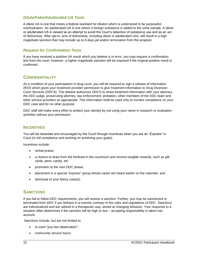## <span id="page-12-0"></span>*Dilute/Fake/Adulterated UA Tests*

A dilute UA is one that meets a federal standard for dilution which is understood to be purposeful overhydration. An adulterated UA is one where a foreign substance is added to the urine sample. A dilute or adulterated UA is viewed as an attempt to avoid the Court's detection of substance use and as an act of dishonesty. After opt-in, acts of dishonesty, including dilute or adulterated UAs, will result in a high magnitude sanction that may include up to 6 days jail and/or termination from the program.

## <span id="page-12-1"></span>*Request for Confirmation Tests*

If you have received a positive UA result which you believe is in error, you may request a confirmation test from the court; however, a higher magnitude sanction will be imposed if the original positive result is confirmed.

## <span id="page-12-2"></span>**CONFIDENTIALITY**

As a condition of your participation in drug court, you will be required to sign a release of information (ROI) which gives your treatment provider permission to give treatment information to Drug Diversion Court Services (DDCS). The release authorizes DDCS to share treatment information with your attorney, the DDC judge, prosecuting attorney, law enforcement, probation, other members of the DDC team and other service providers as appropriate. This information shall be used only to monitor compliance on your DDC case and for no other purpose.

DDC staff will make every effort to protect your identity by not using your name in research or evaluation activities without your permission.

### <span id="page-12-3"></span>**INCENTIVES**

You will be rewarded and encouraged by the Court through incentives when you are an "Express" in Court (in full compliance and working on achieving your goals).

Incentives include:

- verbal praise;
- a chance to draw from the fishbowl in the courtroom and receive tangible rewards, such as gift cards, pens, candy, etc;
- promotion to the next DDC phase;
- placement in a special "express" group whose cases are heard earlier on the calendar; and
- dismissal of your felony case(s).

## <span id="page-12-4"></span>**SANCTIONS**

If you fail to follow DDC requirements, you will receive a sanction. Further, you may be sanctioned or terminated from DDC if you behave in a manner contrary to the rules and regulations of DDC. Sanctions are individualized and are utilized in a therapeutic way, aimed at changing behavior. Your response to a situation often determines if the sanction will be high or low – accepting responsibility is taken into account.

Sanctions include, but are not limited to:

- in-court "jury box observation";
- community service hours;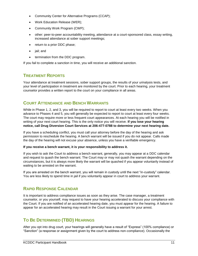- Community Center for Alternative Programs (CCAP);
- Work Education Release (WER);
- Community Work Program (CWP);
- other: peer-to-peer accountability meeting, attendance at a court-sponsored class, essay writing, increased attendance at sober support meetings;
- return to a prior DDC phase;
- jail; and
- termination from the DDC program.

If you fail to complete a sanction in time, you will receive an additional sanction.

# <span id="page-13-0"></span>**TREATMENT REPORTS**

Your attendance at treatment sessions, sober support groups, the results of your urinalysis tests, and your level of participation in treatment are monitored by the court. Prior to each hearing, your treatment counselor provides a written report to the court on your compliance in all areas.

# <span id="page-13-1"></span>**COURT ATTENDANCE AND BENCH WARRANTS**

While in Phase 1, 2, and 3, you will be required to report to court at least every two weeks. When you advance to Phases 4 and 5, you will generally be expected to report to court at least every four weeks. The court may require more or less frequent court appearances. At each hearing you will be notified in writing of your next court hearing. This is the only notice you will receive. **If you lose your hearing notice, call Drug Diversion Court Services at 206-477-0788 to determine your next hearing date.**

If you have a scheduling conflict, you must call your attorney before the day of the hearing and ask permission to reschedule the hearing. A bench warrant will be issued if you do not appear. Calls made the day of the hearing will not excuse your absence, unless you have a verifiable emergency.

### **If you receive a bench warrant, it is your responsibility to address it.**

If you wish to ask the Court to address a bench warrant, generally, you may appear at a DDC calendar and request to quash the bench warrant. The Court may or may not quash the warrant depending on the circumstances, but it is always more likely the warrant will be quashed if you appear voluntarily instead of waiting to be arrested on the warrant.

If you are arrested on the bench warrant, you will remain in custody until the next "in-custody" calendar. You are less likely to spend time in jail if you voluntarily appear in court to address your warrant.

## <span id="page-13-2"></span>**RAPID RESPONSE CALENDAR**

It is important to address compliance issues as soon as they arise. The case manager, a treatment counselor, or you yourself, may request to have your hearing accelerated to discuss your compliance with the Court. If you are notified of an accelerated hearing date, you must appear for the hearing. A failure to appear for an accelerated hearing may result in the Court issuing a warrant for your arrest.

# <span id="page-13-3"></span>**TO BE DETERMINED (TBD) HEARINGS**

After you opt into drug court, your hearings will generally have a result of "Express" (100% compliance) or "Sanction" (a response or assignment given by the court to address non-compliance). Occasionally the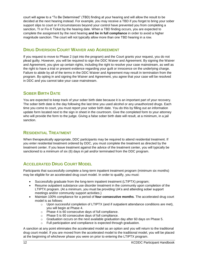court will agree to a "To Be Determined" (TBD) finding at your hearing and will allow the result to be decided at the next hearing instead. For example, you may receive a TBD if you forget to bring your sober support slips to court or if circumstances beyond your control have prevented you from completing a sanction, TI or Fix-It Ticket by the hearing date. When a TBD finding occurs, you are expected to complete the assignment by the next hearing **and be in full compliance** in order to avoid a higher magnitude sanction. The court will not typically allow more than one TBD hearing in a row.

# <span id="page-14-0"></span>**DRUG DIVERSION COURT WAIVER AND AGREEMENT**

If you request to move to Phase 2 (opt into the program) and the Court grants your request, you do not plead guilty. However, you will be required to sign the DDC Waiver and Agreement. By signing the Waiver and Agreement, you give up certain rights, including the right to resolve your case mainstream, as well as the right to have a trial or present evidence regarding your guilt or innocence on the underlying charge. Failure to abide by all of the terms in the DDC Waiver and Agreement may result in termination from the program. By opting in and signing the Waiver and Agreement, you agree that your case will be resolved in DDC and you cannot take your case mainstream.

# <span id="page-14-1"></span>**SOBER BIRTH DATE**

You are expected to keep track of your sober birth date because it is an important part of your recovery. The sober birth date is the day following the last time you used alcohol or any unauthorized drugs. Each time you come to court, you must report your sober birth date. You do this by filling out an information update form located next to the sign in sheet in the courtroom. Give the completed form to your attorney who will provide the form to the judge. Giving a false sober birth date will result, at a minimum, in a jail sanction.

# <span id="page-14-2"></span>**RESIDENTIAL TREATMENT**

When therapeutically appropriate, DDC participants may be required to attend residential treatment. If you enter residential treatment ordered by DDC, you must complete the treatment as directed by the treatment center. If you leave treatment against the advice of the treatment center, you will typically be sanctioned to a minimum of six (6) days in jail and/or terminated from the DDC program.

# <span id="page-14-3"></span>**ACCELERATED DRUG COURT MODEL**

Participants that successfully complete a long-term inpatient treatment program (minimum six months) may be eligible for an accelerated drug court model. In order to qualify, you must:

- Successfully graduate from the long-term inpatient treatment (LTIPTX) program;
- Resume outpatient substance use disorder treatment in the community upon completion of the LTIPTX program. (At a minimum, you must be providing UA's and attending sober support meetings and/or community support activities.)
- Maintain 100% compliance for a period of **four consecutive months**. The accelerated drug court model is as follows:
	- $\circ$  Upon successful completion of LTIPTX (and if outpatient attendance conditions are met), you will begin at Phase 4.
	- o Phase 4 is 60 consecutive days of full compliance.
	- o Phase 5 is 60 consecutive days of full compliance.
	- $\circ$  Graduation occurs on the next available graduation day after 60 days on Phase 5.
	- o Full participation and compliance is expected through graduation.

A sanction at any point eliminates the accelerated model as an option and you will return to the traditional drug court model. If you are moved from the accelerated model to the traditional model, you will be placed at the beginning of whichever phase you were on prior to entering the LTIPTX program.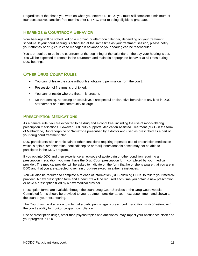Regardless of the phase you were on when you entered LTIPTX, you must still complete a minimum of four consecutive, sanction-free months after LTIPTX, prior to being eligible to graduate.

# <span id="page-15-0"></span>**HEARINGS & COURTROOM BEHAVIOR**

Your hearings will be scheduled on a morning or afternoon calendar, depending on your treatment schedule. If your court hearing is scheduled at the same time as your treatment session, please notify your attorney or drug court case manager in advance so your hearing can be rescheduled.

You are required to be in the courtroom at the beginning of the calendar on the day your hearing is set. You will be expected to remain in the courtroom and maintain appropriate behavior at all times during DDC hearings.

# <span id="page-15-1"></span>**OTHER DRUG COURT RULES**

- You cannot leave the state without first obtaining permission from the court.
- Possession of firearms is prohibited.
- You cannot reside where a firearm is present.
- No threatening, harassing or assaultive, disrespectful or disruptive behavior of any kind in DDC, at treatment or in the community at large.

# <span id="page-15-2"></span>**PRESCRIPTION MEDICATIONS**

As a general rule, you are expected to be drug and alcohol free, including the use of mood-altering prescription medications. However, DDC fully supports Medication Assisted Treatment (MAT) in the form of Methadone, Buprenorphine or Naltrexone prescribed by a doctor and used as prescribed as a part of your drug court treatment plan.

DDC participants with chronic pain or other conditions requiring repeated use of prescription medication which is opioid, amphetamine, benzodiazepine or marijuana/cannabis based may not be able to participate in the DDC program.

If you opt into DDC and then experience an episode of acute pain or other condition requiring a prescription medication, you must have the Drug Court prescription form completed by your medical provider. The medical provider will be asked to indicate on the form that he or she is aware that you are in DDC and that you are expected to remain drug-free except in extreme instances.

You will also be required to complete a release of information (ROI) allowing DDCS to talk to your medical provider. A new prescription form and a new ROI will be required each time you obtain a new prescription or have a prescription filled by a new medical provider.

Prescription forms are available through the court, Drug Court Services or the Drug Court website. Completed forms should be provided to your treatment provider at your next appointment and shown to the court at your next hearing.

The Court has the discretion to rule that a participant's legally prescribed medication is inconsistent with the court's ability to monitor program compliance.

Use of prescription drugs, other than psychotropics and antibiotics, may impact your abstinence clock and your progress in DDC.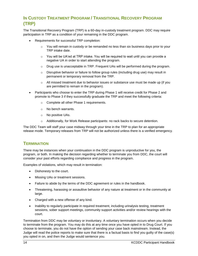# <span id="page-16-0"></span>**IN CUSTODY TREATMENT PROGRAM / TRANSITIONAL RECOVERY PROGRAM (TRP)**

The Transitional Recovery Program (TRP) is a 60-day in-custody treatment program. DDC may require participation in TRP as a condition of your remaining in the DDC program.

- Requirements for successful TRP completion:
	- $\circ$  You will remain in custody or be remanded no less than six business days prior to your TRP intake date.
	- $\circ$  You will be UA'ed at TRP intake. You will be required to wait until you can provide a negative UA in order to start attending the program.
	- $\circ$  Drug use is unacceptable in TRP. Frequent UAs will be performed during the program.
	- $\circ$  Disruptive behavior or failure to follow group rules (including drug use) may result in permanent or temporary removal from the TRP.
	- $\circ$  All missed treatment due to behavior issues or substance use must be made up (if you are permitted to remain in the program).
- Participants who choose to enter the TRP during Phase 1 will receive credit for Phase 2 and promote to Phase 3 if they successfully graduate the TRP and meet the following criteria:
	- o Complete all other Phase 1 requirements.
	- o No bench warrants.
	- o No positive UAs.
	- o Additionally, for Work Release participants: no rack backs to secure detention.

The DDC Team will staff your case midway through your time in the TRP to plan for an appropriate release mode. Temporary releases from TRP will not be authorized unless there is a verified emergency.

## <span id="page-16-1"></span>**TERMINATION**

There may be instances when your continuation in the DDC program is unproductive for you, the program, or both. In making the decision regarding whether to terminate you from DDC, the court will consider your past efforts regarding compliance and progress in the program.

Examples of violations, which may result in termination:

- Dishonesty to the court.
- Missing UAs or treatment sessions.
- Failure to abide by the terms of the DDC agreement or rules in the handbook.
- Threatening, harassing or assaultive behavior of any nature at treatment or in the community at large.
- Charged with a new offense of any kind.
- Inability to regularly participate in required treatment, including urinalysis testing, treatment sessions, sober support meetings, community support activities and/or review hearings with the court.

Termination from DDC may be voluntary or involuntary. A voluntary termination occurs when you decide to terminate from the program. You may do this at any time once you have opted in to Drug Court. If you choose to terminate, you do not have the option of sending your case back mainstream. Instead, the Judge will read the police reports to make sure that there is a factual basis to find you guilty of the case(s) you opted in on, and then the Judge would sentence you.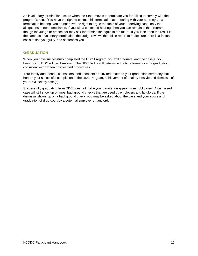An involuntary termination occurs when the State moves to terminate you for failing to comply with the program's rules. You have the right to contest this termination at a hearing with your attorney. At a termination hearing, you do not have the right to argue the facts of your underlying case, only the allegations of non-compliance. If you win a contested hearing, then you can remain in the program, though the Judge or prosecutor may ask for termination again in the future. If you lose, then the result is the same as a voluntary termination: the Judge reviews the police report to make sure there is a factual basis to find you guilty, and sentences you.

## <span id="page-17-0"></span>**GRADUATION**

When you have successfully completed the DDC Program, you will graduate, and the case(s) you brought into DDC will be dismissed. The DDC Judge will determine the time frame for your graduation, consistent with written policies and procedures.

Your family and friends, counselors, and sponsors are invited to attend your graduation ceremony that honors your successful completion of the DDC Program, achievement of healthy lifestyle and dismissal of your DDC felony case(s).

Successfully graduating from DDC does not make your case(s) disappear from public view. A dismissed case will still show up on most background checks that are used by employers and landlords. If the dismissal shows up on a background check, you may be asked about the case and your successful graduation of drug court by a potential employer or landlord.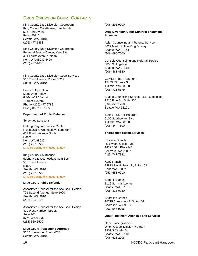# <span id="page-18-0"></span>**DRUG DIVERSION COURT CONTACTS**

King County Drug Diversion Courtroom King County Courthouse, Seattle Site 516 Third Avenue Room E-912 Seattle, WA 98104 (206) 477-1453

King County Drug Diversion Courtroom Regional Justice Center, Kent Site 401 Fourth Avenue, North Kent, WA 98032-4429 (206) 477-1635

King County Drug Diversion Court Services 516 Third Avenue, Room E-917 Seattle, WA 98104

Hours of Operation: Monday to Friday 8:30am-11:30am & 1:30pm-4:30pm Phone: (206) 477-0788 Fax: (206) 296-7885

#### **Department of Public Defense**

*Screening Locations:*

Maleng Regional Justice Center (Tuesdays & Wednesdays 8am-5pm) 401 Fourth Avenue North Room 1-B Kent, WA 98032 (206) 477-9727 [DPDScreening@kingcounty.gov](mailto:DPDScreening@kingcounty.gov)

King County Courthouse (Mondays & Wednesdays 8am-5pm) 516 Third Avenue E-820 Seattle, WA 98104 (206) 477-9727 [DPDScreening@kingcounty.gov](mailto:DPDScreening@kingcounty.gov)

### **Drug Court Public Defender**

Associated Counsel for the Accused Division 701 Second Avenue, Suite 1000 Seattle, WA 98104 (206) 624-8105

Associated Counsel for the Accused Division 420 West Harrison Street, Suite 201 Kent, WA 98032 (253) 520-6509

**Drug Court Prosecuting Attorney** 516 3rd Avenue, Room W554 Seattle, WA 98104

(206) 296-9000

**Drug Diversion Court Contract Treatment Agencies**

Asian Counseling and Referral Service 3639 Martin Luther King Jr. Way Seattle, WA 98144 (206) 695-7600

Consejo Counseling and Referral Service 3808 S. Angeline Seattle, WA 98118 (206) 461-4880

Cowlitz Tribal Treatment 15455 65th Ave S Tukwila, WA 98188 (206) 721-5179

Seattle Counseling Service (LGBTQ-focused) 1216 Pine St., Suite 300 (206) 323-1768 Seattle, WA 98101

Sound - START Program 6100 Southcenter Blvd Tukwila, WA 98188 (206) 444-7800

### **Therapeutic Health Services**

Eastside Branch Rockwood Office Park 1412 140th Place NE Bellevue, WA 98007 (425) 747-7892

Kent Branch 24823 Pacific Hwy. S., Suite 103 Kent, WA 98032 (253) 681-0010

Summit Branch 1116 Summit Avenue Seattle, WA 98101 (206) 323-0930

Shoreline Branch 16715 Aurora Ave N Suite 102 Shoreline, WA 98133 (206) 546-9766

#### **Other Treatment Agencies and Services**

Hope Place (Women) Union Gospel Mission Program 3802 S Othello St Seattle, WA 98118 (206) 628-2008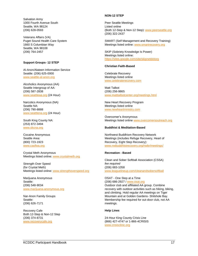Salvation Army 1000 Fourth Avenue South Seattle, WA 98124 (206) 628-0593

Veterans Affairs (VA) Puget Sound Health Care System 1660 S Columbian Way Seattle, WA 98108 (206) 764-2457

#### **Support Groups- 12 STEP**

Al-Anon/Alateen Information Service Seattle: (206) 625-0000 [www.seattle-al-anon.org](http://www.seattle-al-anon.org/)

Alcoholics Anonymous (AA) Seattle Intergroup of AA: (206) 587-2838 [www.seattleaa.org](http://www.seattleaa.org/) (24 Hour)

Narcotics Anonymous (NA) Seattle NA: (206) 790-8888 [www.seattlena.org](http://www.seattlena.org/) (24 Hour)

South King County NA: (253) 872-3494 [www.skcna.org](http://www.skcna.org/)

Cocaine Anonymous Seattle Area: (800) 723-1923 [www.caofwa.org](http://www.caofwa.org/)

Crystal Meth Anonymous Meetings listed online[: www.crystalmeth.org](http://www.crystalmeth.org/)

Strength Over Speed (for Crystal Meth) Meetings listed online[: www.strengthoverspeed.org](http://www.strengthoverspeed.org/)

Marijuana Anonymous Seattle: (206) 548-9034 [www.marijuana-anonymous.org](http://www.marijuana-anonymous.org/)

Nar-Anon Family Groups Seattle: (206) 626-7171

Recovery Cafe Both 12-Step & Non-12 Step (206) 374-8731 [www.recoverycafe.org](http://www.recoverycafe.org/)

#### **NON-12 STEP**

Peer Seattle Meetings Listed online (Both 12-Step & Non-12 Step): [www.peerseattle.org](http://www.peerseattle.org/) (206) 322-2437

SMART (Self Management and Recovery Training) Meetings listed online[: www.smartrecovery.org](http://www.smartrecovery.org/)

SKIP (Sobriety Knowledge Is Power) Meetings listed online: <https://sites.google.com/site/skipnetdotorg>

#### **Christian Faith-Based**

Celebrate Recovery Meetings listed online [www.celebraterecovery.com](http://www.celebraterecovery.com/)

Matt Talbot (206) 256-9865 [www.matttalbotcenter.org/meetings.html](http://www.matttalbotcenter.org/meetings.html)

New Heart Recovery Program Meetings listed online [www.newheartministry.com](http://www.newheartministry.com/)

Overcomer's Anonymous Meetings listed online [www.overcomersoutreach.org](http://www.overcomersoutreach.org/)

#### **Buddhist & Meditation-Based**

Northwest Buddhism Recovery Network Meetings (includes Refuge Recovery, Heart of Recovery, Eight Step Recovery): [www.nwbuddhistrecovery.org/nwbr/meetings/](http://www.nwbuddhistrecovery.org/nwbr/meetings/)

#### **Recreation - Based**

Clean and Sober Softball Association (CSSA) *fee required* (206) 683-1058 [www.leaguelineup.com/cleanandsobersoftball](http://www.leaguelineup.com/cleanandsobersoftball)

OSAT - One Step at a Time (206) 686-2927 / [www.osat.org](http://www.osat.org/) Outdoor club and affiliated AA group. Combine recovery with outdoor activities such as hiking, biking, and climbing. Hold regular AA meetings on Tiger Mountain and at Golden Gardens- Shilshole Bay. Membership fee required for out-door club, not AA meetings.

#### **Help Lines**

24-Hour King County Crisis Line (866) 427-4747 or 1-866-4CRISIS [www.crisisclinic.org](http://www.crisisclinic.org/)